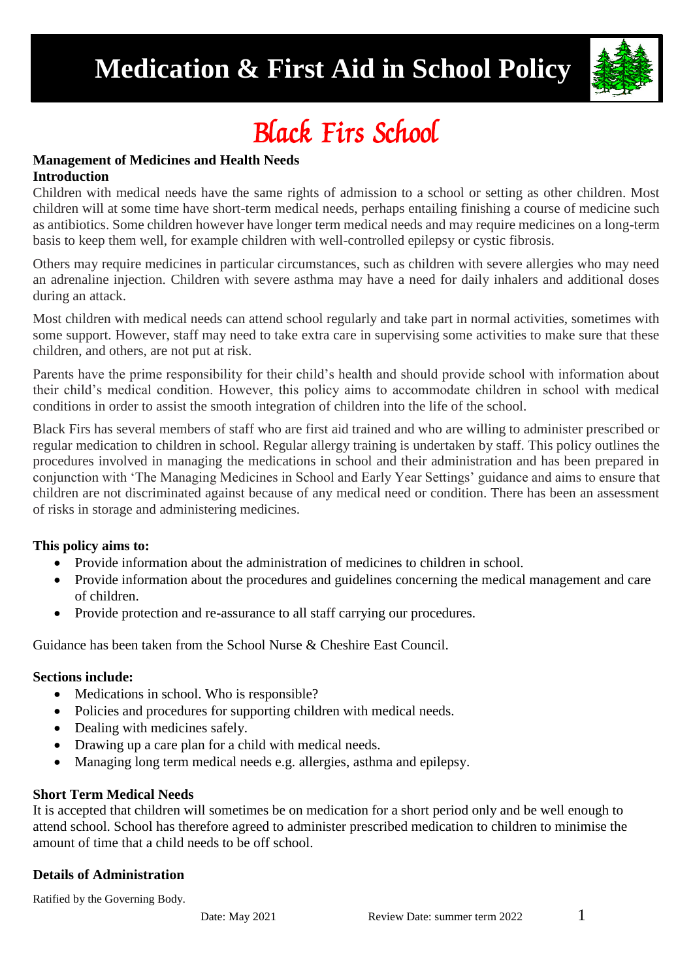# **Medication & First Aid in School Policy**



# Black Firs School

#### **Management of Medicines and Health Needs Introduction**

Children with medical needs have the same rights of admission to a school or setting as other children. Most children will at some time have short-term medical needs, perhaps entailing finishing a course of medicine such as antibiotics. Some children however have longer term medical needs and may require medicines on a long-term basis to keep them well, for example children with well-controlled epilepsy or cystic fibrosis.

Others may require medicines in particular circumstances, such as children with severe allergies who may need an adrenaline injection. Children with severe asthma may have a need for daily inhalers and additional doses during an attack.

Most children with medical needs can attend school regularly and take part in normal activities, sometimes with some support. However, staff may need to take extra care in supervising some activities to make sure that these children, and others, are not put at risk.

Parents have the prime responsibility for their child's health and should provide school with information about their child's medical condition. However, this policy aims to accommodate children in school with medical conditions in order to assist the smooth integration of children into the life of the school.

Black Firs has several members of staff who are first aid trained and who are willing to administer prescribed or regular medication to children in school. Regular allergy training is undertaken by staff. This policy outlines the procedures involved in managing the medications in school and their administration and has been prepared in conjunction with 'The Managing Medicines in School and Early Year Settings' guidance and aims to ensure that children are not discriminated against because of any medical need or condition. There has been an assessment of risks in storage and administering medicines.

## **This policy aims to:**

- Provide information about the administration of medicines to children in school.
- Provide information about the procedures and guidelines concerning the medical management and care of children.
- Provide protection and re-assurance to all staff carrying our procedures.

Guidance has been taken from the School Nurse & Cheshire East Council.

#### **Sections include:**

- Medications in school. Who is responsible?
- Policies and procedures for supporting children with medical needs.
- Dealing with medicines safely.
- Drawing up a care plan for a child with medical needs.
- Managing long term medical needs e.g. allergies, asthma and epilepsy.

#### **Short Term Medical Needs**

It is accepted that children will sometimes be on medication for a short period only and be well enough to attend school. School has therefore agreed to administer prescribed medication to children to minimise the amount of time that a child needs to be off school.

#### **Details of Administration**

Ratified by the Governing Body.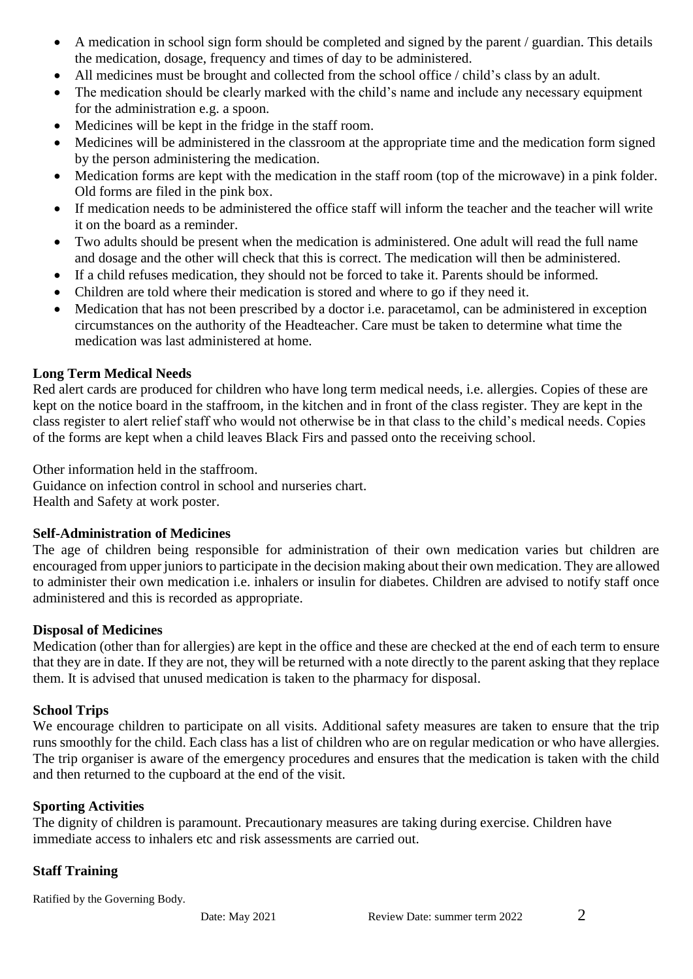- A medication in school sign form should be completed and signed by the parent / guardian. This details the medication, dosage, frequency and times of day to be administered.
- All medicines must be brought and collected from the school office / child's class by an adult.
- The medication should be clearly marked with the child's name and include any necessary equipment for the administration e.g. a spoon.
- Medicines will be kept in the fridge in the staff room.
- Medicines will be administered in the classroom at the appropriate time and the medication form signed by the person administering the medication.
- Medication forms are kept with the medication in the staff room (top of the microwave) in a pink folder. Old forms are filed in the pink box.
- If medication needs to be administered the office staff will inform the teacher and the teacher will write it on the board as a reminder.
- Two adults should be present when the medication is administered. One adult will read the full name and dosage and the other will check that this is correct. The medication will then be administered.
- If a child refuses medication, they should not be forced to take it. Parents should be informed.
- Children are told where their medication is stored and where to go if they need it.
- Medication that has not been prescribed by a doctor i.e. paracetamol, can be administered in exception circumstances on the authority of the Headteacher. Care must be taken to determine what time the medication was last administered at home.

### **Long Term Medical Needs**

Red alert cards are produced for children who have long term medical needs, i.e. allergies. Copies of these are kept on the notice board in the staffroom, in the kitchen and in front of the class register. They are kept in the class register to alert relief staff who would not otherwise be in that class to the child's medical needs. Copies of the forms are kept when a child leaves Black Firs and passed onto the receiving school.

Other information held in the staffroom.

Guidance on infection control in school and nurseries chart. Health and Safety at work poster.

#### **Self-Administration of Medicines**

The age of children being responsible for administration of their own medication varies but children are encouraged from upper juniors to participate in the decision making about their own medication. They are allowed to administer their own medication i.e. inhalers or insulin for diabetes. Children are advised to notify staff once administered and this is recorded as appropriate.

#### **Disposal of Medicines**

Medication (other than for allergies) are kept in the office and these are checked at the end of each term to ensure that they are in date. If they are not, they will be returned with a note directly to the parent asking that they replace them. It is advised that unused medication is taken to the pharmacy for disposal.

#### **School Trips**

We encourage children to participate on all visits. Additional safety measures are taken to ensure that the trip runs smoothly for the child. Each class has a list of children who are on regular medication or who have allergies. The trip organiser is aware of the emergency procedures and ensures that the medication is taken with the child and then returned to the cupboard at the end of the visit.

#### **Sporting Activities**

The dignity of children is paramount. Precautionary measures are taking during exercise. Children have immediate access to inhalers etc and risk assessments are carried out.

#### **Staff Training**

Ratified by the Governing Body.